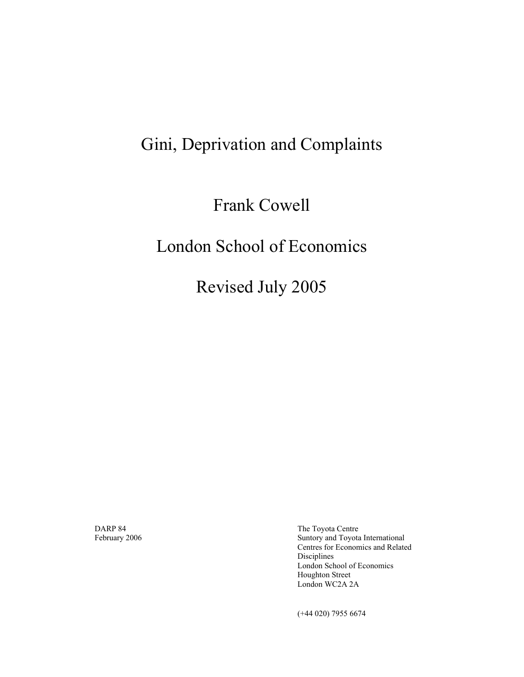# Gini, Deprivation and Complaints

Frank Cowell

# London School of Economics

Revised July 2005

DARP 84The Toyota Centre Suntory and Toyota International Centres for Economics and Related Disciplines London School of Economics Houghton Street London WC2A 2A

(+44 020) 7955 6674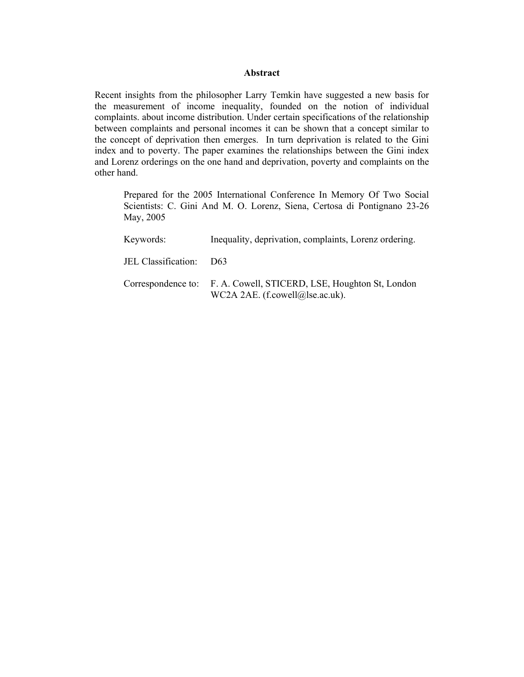#### **Abstract**

Recent insights from the philosopher Larry Temkin have suggested a new basis for the measurement of income inequality, founded on the notion of individual complaints. about income distribution. Under certain specifications of the relationship between complaints and personal incomes it can be shown that a concept similar to the concept of deprivation then emerges. In turn deprivation is related to the Gini index and to poverty. The paper examines the relationships between the Gini index and Lorenz orderings on the one hand and deprivation, poverty and complaints on the other hand.

Prepared for the 2005 International Conference In Memory Of Two Social Scientists: C. Gini And M. O. Lorenz, Siena, Certosa di Pontignano 23-26 May, 2005

| Keywords:               | Inequality, deprivation, complaints, Lorenz ordering.                                                 |
|-------------------------|-------------------------------------------------------------------------------------------------------|
| JEL Classification: D63 |                                                                                                       |
|                         | Correspondence to: F. A. Cowell, STICERD, LSE, Houghton St, London<br>WC2A 2AE. (f.cowell@lse.ac.uk). |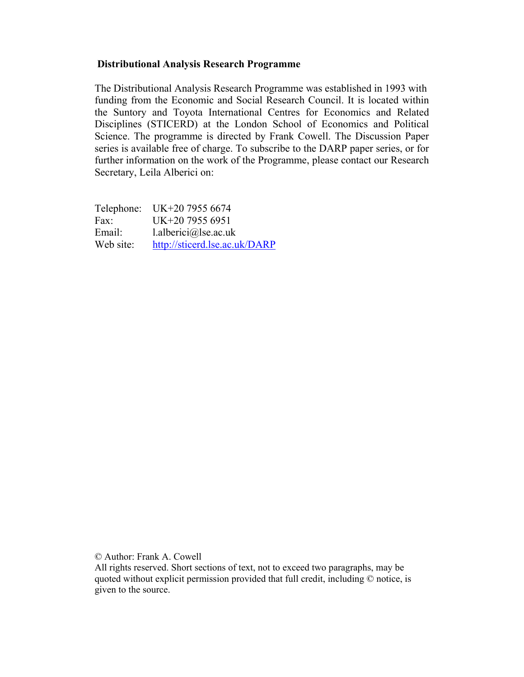## **Distributional Analysis Research Programme**

The Distributional Analysis Research Programme was established in 1993 with funding from the Economic and Social Research Council. It is located within the Suntory and Toyota International Centres for Economics and Related Disciplines (STICERD) at the London School of Economics and Political Science. The programme is directed by Frank Cowell. The Discussion Paper series is available free of charge. To subscribe to the DARP paper series, or for further information on the work of the Programme, please contact our Research Secretary, Leila Alberici on:

Telephone: UK+20 7955 6674 Fax: UK+20 7955 6951 Email: l.alberici@lse.ac.uk Web site: http://sticerd.lse.ac.uk/DARP

© Author: Frank A. Cowell

All rights reserved. Short sections of text, not to exceed two paragraphs, may be quoted without explicit permission provided that full credit, including © notice, is given to the source.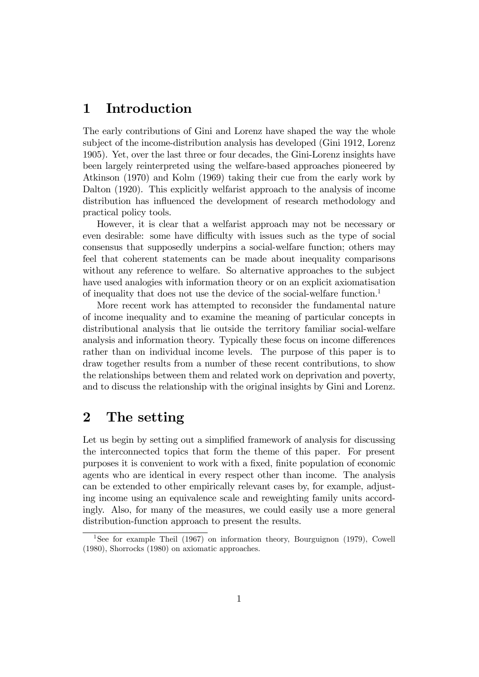# 1 Introduction

The early contributions of Gini and Lorenz have shaped the way the whole subject of the income-distribution analysis has developed (Gini 1912, Lorenz 1905). Yet, over the last three or four decades, the Gini-Lorenz insights have been largely reinterpreted using the welfare-based approaches pioneered by Atkinson (1970) and Kolm (1969) taking their cue from the early work by Dalton (1920). This explicitly welfarist approach to the analysis of income distribution has influenced the development of research methodology and practical policy tools.

However, it is clear that a welfarist approach may not be necessary or even desirable: some have difficulty with issues such as the type of social consensus that supposedly underpins a social-welfare function; others may feel that coherent statements can be made about inequality comparisons without any reference to welfare. So alternative approaches to the subject have used analogies with information theory or on an explicit axiomatisation of inequality that does not use the device of the social-welfare function.<sup>1</sup>

More recent work has attempted to reconsider the fundamental nature of income inequality and to examine the meaning of particular concepts in distributional analysis that lie outside the territory familiar social-welfare analysis and information theory. Typically these focus on income differences rather than on individual income levels. The purpose of this paper is to draw together results from a number of these recent contributions, to show the relationships between them and related work on deprivation and poverty, and to discuss the relationship with the original insights by Gini and Lorenz.

# 2 The setting

Let us begin by setting out a simplified framework of analysis for discussing the interconnected topics that form the theme of this paper. For present purposes it is convenient to work with a fixed, finite population of economic agents who are identical in every respect other than income. The analysis can be extended to other empirically relevant cases by, for example, adjusting income using an equivalence scale and reweighting family units accordingly. Also, for many of the measures, we could easily use a more general distribution-function approach to present the results.

<sup>1</sup>See for example Theil (1967) on information theory, Bourguignon (1979), Cowell (1980), Shorrocks (1980) on axiomatic approaches.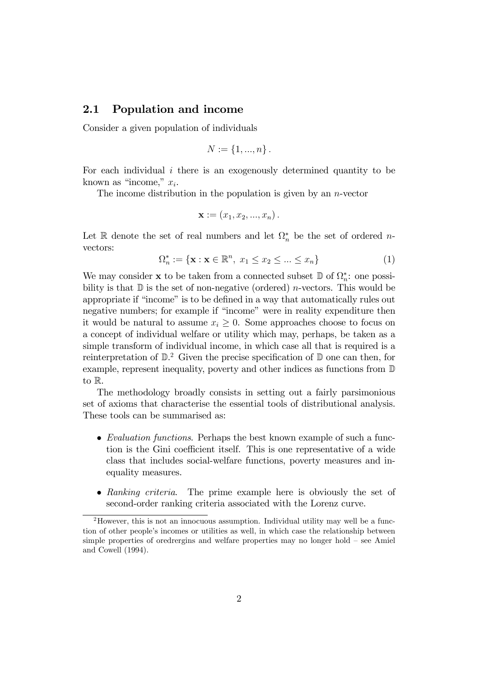## 2.1 Population and income

Consider a given population of individuals

$$
N := \{1, ..., n\}.
$$

For each individual  $i$  there is an exogenously determined quantity to be known as "income,"  $x_i$ .

The income distribution in the population is given by an  $n$ -vector

$$
\mathbf{x} := (x_1, x_2, \ldots, x_n).
$$

Let R denote the set of real numbers and let  $\Omega_n^*$  be the set of ordered *n*vectors:

$$
\Omega_n^* := \{ \mathbf{x} : \mathbf{x} \in \mathbb{R}^n, \ x_1 \le x_2 \le \dots \le x_n \} \tag{1}
$$

We may consider **x** to be taken from a connected subset  $\mathbb{D}$  of  $\Omega_n^*$ : one possibility is that  $\mathbb D$  is the set of non-negative (ordered) *n*-vectors. This would be appropriate if "income" is to be defined in a way that automatically rules out negative numbers; for example if "income" were in reality expenditure then it would be natural to assume  $x_i \geq 0$ . Some approaches choose to focus on a concept of individual welfare or utility which may, perhaps, be taken as a simple transform of individual income, in which case all that is required is a reinterpretation of  $\mathbb{D}^2$ . Given the precise specification of  $\mathbb{D}$  one can then, for example, represent inequality, poverty and other indices as functions from D to R.

The methodology broadly consists in setting out a fairly parsimonious set of axioms that characterise the essential tools of distributional analysis. These tools can be summarised as:

- Evaluation functions. Perhaps the best known example of such a function is the Gini coefficient itself. This is one representative of a wide class that includes social-welfare functions, poverty measures and inequality measures.
- Ranking criteria. The prime example here is obviously the set of second-order ranking criteria associated with the Lorenz curve.

<sup>&</sup>lt;sup>2</sup>However, this is not an innocuous assumption. Individual utility may well be a function of other people's incomes or utilities as well, in which case the relationship between simple properties of oredrergins and welfare properties may no longer hold  $-$  see Amiel and Cowell (1994).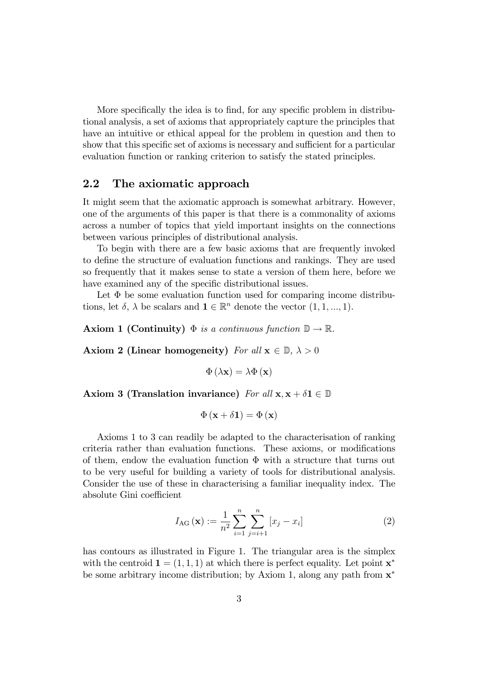More specifically the idea is to find, for any specific problem in distributional analysis, a set of axioms that appropriately capture the principles that have an intuitive or ethical appeal for the problem in question and then to show that this specific set of axioms is necessary and sufficient for a particular evaluation function or ranking criterion to satisfy the stated principles.

## 2.2 The axiomatic approach

It might seem that the axiomatic approach is somewhat arbitrary. However, one of the arguments of this paper is that there is a commonality of axioms across a number of topics that yield important insights on the connections between various principles of distributional analysis.

To begin with there are a few basic axioms that are frequently invoked to define the structure of evaluation functions and rankings. They are used so frequently that it makes sense to state a version of them here, before we have examined any of the specific distributional issues.

Let  $\Phi$  be some evaluation function used for comparing income distributions, let  $\delta$ ,  $\lambda$  be scalars and  $\mathbf{1} \in \mathbb{R}^n$  denote the vector  $(1, 1, ..., 1)$ .

Axiom 1 (Continuity)  $\Phi$  is a continuous function  $\mathbb{D} \to \mathbb{R}$ .

Axiom 2 (Linear homogeneity) For all  $x \in \mathbb{D}$ ,  $\lambda > 0$ 

$$
\Phi\left(\lambda\mathbf{x}\right) = \lambda\Phi\left(\mathbf{x}\right)
$$

Axiom 3 (Translation invariance) For all  $x, x + \delta 1 \in \mathbb{D}$ 

$$
\Phi\left(\mathbf{x}+\delta\mathbf{1}\right)=\Phi\left(\mathbf{x}\right)
$$

Axioms 1 to 3 can readily be adapted to the characterisation of ranking criteria rather than evaluation functions. These axioms, or modifications of them, endow the evaluation function  $\Phi$  with a structure that turns out to be very useful for building a variety of tools for distributional analysis. Consider the use of these in characterising a familiar inequality index. The absolute Gini coefficient

$$
I_{\text{AG}}\left(\mathbf{x}\right) := \frac{1}{n^2} \sum_{i=1}^{n} \sum_{j=i+1}^{n} \left[x_j - x_i\right] \tag{2}
$$

has contours as illustrated in Figure 1. The triangular area is the simplex with the centroid  $\mathbf{1} = (1, 1, 1)$  at which there is perfect equality. Let point  $\mathbf{x}^*$ be some arbitrary income distribution; by Axiom 1, along any path from  $x^*$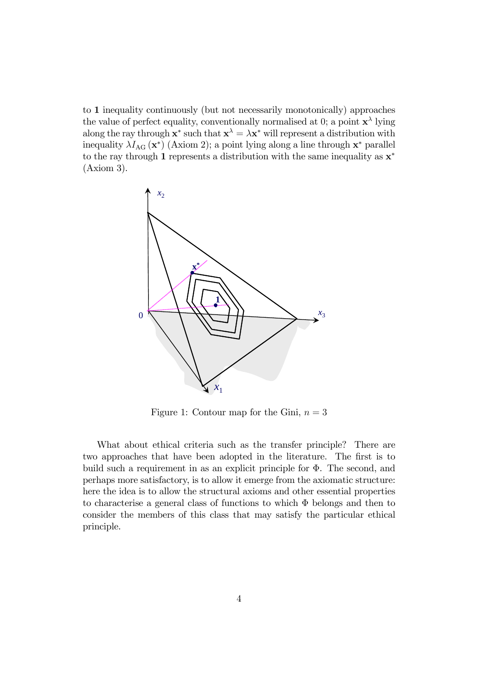to 1 inequality continuously (but not necessarily monotonically) approaches the value of perfect equality, conventionally normalised at 0; a point  $\mathbf{x}^{\lambda}$  lying along the ray through  $\mathbf{x}^*$  such that  $\mathbf{x}^{\lambda} = \lambda \mathbf{x}^*$  will represent a distribution with inequality  $\lambda I_{\text{AG}} (\mathbf{x}^*)$  (Axiom 2); a point lying along a line through  $\mathbf{x}^*$  parallel to the ray through 1 represents a distribution with the same inequality as  $x^*$ (Axiom 3).



Figure 1: Contour map for the Gini,  $n = 3$ 

What about ethical criteria such as the transfer principle? There are two approaches that have been adopted in the literature. The first is to build such a requirement in as an explicit principle for  $\Phi$ . The second, and perhaps more satisfactory, is to allow it emerge from the axiomatic structure: here the idea is to allow the structural axioms and other essential properties to characterise a general class of functions to which  $\Phi$  belongs and then to consider the members of this class that may satisfy the particular ethical principle.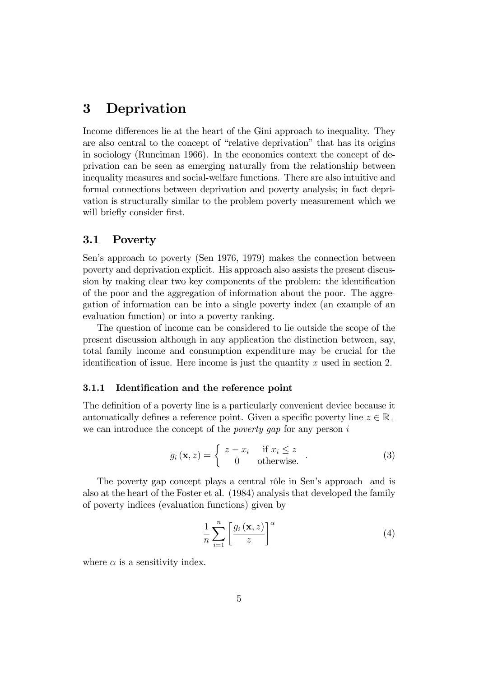# 3 Deprivation

Income differences lie at the heart of the Gini approach to inequality. They are also central to the concept of "relative deprivation" that has its origins in sociology (Runciman 1966). In the economics context the concept of deprivation can be seen as emerging naturally from the relationship between inequality measures and social-welfare functions. There are also intuitive and formal connections between deprivation and poverty analysis; in fact deprivation is structurally similar to the problem poverty measurement which we will briefly consider first.

### 3.1 Poverty

Sen's approach to poverty (Sen 1976, 1979) makes the connection between poverty and deprivation explicit. His approach also assists the present discussion by making clear two key components of the problem: the identification of the poor and the aggregation of information about the poor. The aggregation of information can be into a single poverty index (an example of an evaluation function) or into a poverty ranking.

The question of income can be considered to lie outside the scope of the present discussion although in any application the distinction between, say, total family income and consumption expenditure may be crucial for the identification of issue. Here income is just the quantity  $x$  used in section 2.

#### 3.1.1 Identification and the reference point

The definition of a poverty line is a particularly convenient device because it automatically defines a reference point. Given a specific poverty line  $z \in \mathbb{R}_+$ we can introduce the concept of the *poverty gap* for any person  $i$ 

$$
g_i(\mathbf{x}, z) = \begin{cases} z - x_i & \text{if } x_i \le z \\ 0 & \text{otherwise.} \end{cases}
$$
 (3)

The poverty gap concept plays a central rôle in Sen's approach and is also at the heart of the Foster et al. (1984) analysis that developed the family of poverty indices (evaluation functions) given by

$$
\frac{1}{n}\sum_{i=1}^{n}\left[\frac{g_i\left(\mathbf{x},z\right)}{z}\right]^{\alpha} \tag{4}
$$

where  $\alpha$  is a sensitivity index.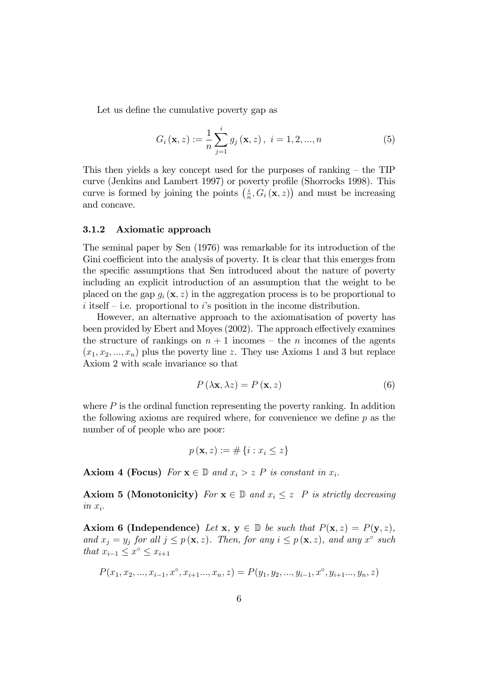Let us define the cumulative poverty gap as

$$
G_{i}(\mathbf{x}, z) := \frac{1}{n} \sum_{j=1}^{i} g_{j}(\mathbf{x}, z), \ i = 1, 2, ..., n
$$
 (5)

This then yields a key concept used for the purposes of ranking  $-$  the TIP curve (Jenkins and Lambert 1997) or poverty profile (Shorrocks 1998). This curve is formed by joining the points  $\left(\frac{i}{n}\right)$  $\frac{i}{n}$ ,  $G_i(\mathbf{x}, z)$  and must be increasing and concave.

#### 3.1.2 Axiomatic approach

The seminal paper by Sen (1976) was remarkable for its introduction of the Gini coefficient into the analysis of poverty. It is clear that this emerges from the specific assumptions that Sen introduced about the nature of poverty including an explicit introduction of an assumption that the weight to be placed on the gap  $q_i(\mathbf{x}, z)$  in the aggregation process is to be proportional to i itself  $\overline{\phantom{a}}$ -i.e. proportional to is position in the income distribution.

However, an alternative approach to the axiomatisation of poverty has been provided by Ebert and Moyes (2002). The approach effectively examines the structure of rankings on  $n + 1$  incomes – the n incomes of the agents  $(x_1, x_2, ..., x_n)$  plus the poverty line z. They use Axioms 1 and 3 but replace Axiom 2 with scale invariance so that

$$
P\left(\lambda \mathbf{x}, \lambda z\right) = P\left(\mathbf{x}, z\right) \tag{6}
$$

where  $P$  is the ordinal function representing the poverty ranking. In addition the following axioms are required where, for convenience we define  $p$  as the number of of people who are poor:

$$
p(\mathbf{x}, z) := \#\{i : x_i \leq z\}
$$

**Axiom 4 (Focus)** For  $\mathbf{x} \in \mathbb{D}$  and  $x_i > z$  P is constant in  $x_i$ .

**Axiom 5 (Monotonicity)** For  $\mathbf{x} \in \mathbb{D}$  and  $x_i \leq z$  P is strictly decreasing  $in x_i$ .

Axiom 6 (Independence) Let x,  $y \in \mathbb{D}$  be such that  $P(x, z) = P(y, z)$ , and  $x_j = y_j$  for all  $j \leq p(\mathbf{x}, z)$ . Then, for any  $i \leq p(\mathbf{x}, z)$ , and any  $x^{\circ}$  such that  $x_{i-1} \leq x^{\circ} \leq x_{i+1}$ 

$$
P(x_1, x_2, \ldots, x_{i-1}, x^\circ, x_{i+1}, \ldots, x_n, z) = P(y_1, y_2, \ldots, y_{i-1}, x^\circ, y_{i+1}, \ldots, y_n, z)
$$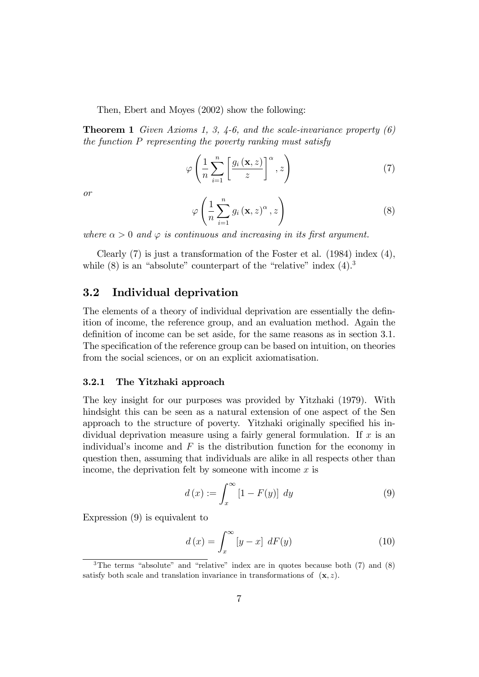Then, Ebert and Moyes (2002) show the following:

**Theorem 1** Given Axioms 1, 3, 4-6, and the scale-invariance property  $(6)$ the function P representing the poverty ranking must satisfy

$$
\varphi\left(\frac{1}{n}\sum_{i=1}^{n}\left[\frac{g_i\left(\mathbf{x},z\right)}{z}\right]^{\alpha},z\right)
$$
\n(7)

or

$$
\varphi\left(\frac{1}{n}\sum_{i=1}^{n}g_{i}\left(\mathbf{x},z\right)^{\alpha},z\right)
$$
\n(8)

where  $\alpha > 0$  and  $\varphi$  is continuous and increasing in its first argument.

Clearly (7) is just a transformation of the Foster et al. (1984) index (4), while  $(8)$  is an "absolute" counterpart of the "relative" index  $(4)$ .<sup>3</sup>

## 3.2 Individual deprivation

The elements of a theory of individual deprivation are essentially the definition of income, the reference group, and an evaluation method. Again the definition of income can be set aside, for the same reasons as in section 3.1. The specification of the reference group can be based on intuition, on theories from the social sciences, or on an explicit axiomatisation.

#### 3.2.1 The Yitzhaki approach

The key insight for our purposes was provided by Yitzhaki (1979). With hindsight this can be seen as a natural extension of one aspect of the Sen approach to the structure of poverty. Yitzhaki originally specified his individual deprivation measure using a fairly general formulation. If  $x$  is an individual's income and  $F$  is the distribution function for the economy in question then, assuming that individuals are alike in all respects other than income, the deprivation felt by someone with income  $x$  is

$$
d(x) := \int_{x}^{\infty} \left[1 - F(y)\right] dy \tag{9}
$$

Expression (9) is equivalent to

$$
d\left(x\right) = \int_{x}^{\infty} \left[y - x\right] \, dF(y) \tag{10}
$$

<sup>&</sup>lt;sup>3</sup>The terms "absolute" and "relative" index are in quotes because both  $(7)$  and  $(8)$ satisfy both scale and translation invariance in transformations of  $(\mathbf{x}, z)$ .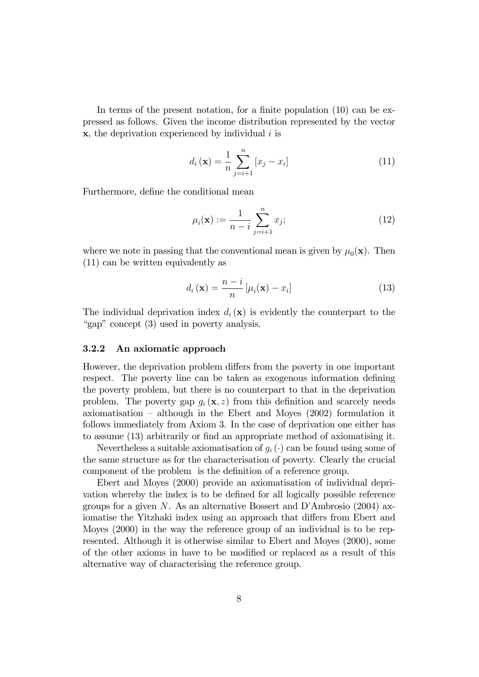In terms of the present notation, for a finite population  $(10)$  can be expressed as follows. Given the income distribution represented by the vector  $x$ , the deprivation experienced by individual i is

$$
d_i(\mathbf{x}) = \frac{1}{n} \sum_{j=i+1}^{n} [x_j - x_i]
$$
 (11)

Furthermore, define the conditional mean

$$
\mu_i(\mathbf{x}) := \frac{1}{n-i} \sum_{j=i+1}^n x_j;
$$
\n(12)

where we note in passing that the conventional mean is given by  $\mu_0(\mathbf{x})$ . Then (11) can be written equivalently as

$$
d_i(\mathbf{x}) = \frac{n-i}{n} \left[ \mu_i(\mathbf{x}) - x_i \right] \tag{13}
$$

The individual deprivation index  $d_i(\mathbf{x})$  is evidently the counterpart to the "gap" concept  $(3)$  used in poverty analysis.

#### 3.2.2 An axiomatic approach

However, the deprivation problem differs from the poverty in one important respect. The poverty line can be taken as exogenous information defining the poverty problem, but there is no counterpart to that in the deprivation problem. The poverty gap  $g_i(\mathbf{x}, z)$  from this definition and scarcely needs axiomatisation  $-$  although in the Ebert and Moyes (2002) formulation it follows immediately from Axiom 3. In the case of deprivation one either has to assume (13) arbitrarily or Önd an appropriate method of axiomatising it.

Nevertheless a suitable axiomatisation of  $g_i(\cdot)$  can be found using some of the same structure as for the characterisation of poverty. Clearly the crucial component of the problem is the definition of a reference group.

Ebert and Moyes (2000) provide an axiomatisation of individual deprivation whereby the index is to be defined for all logically possible reference groups for a given N. As an alternative Bossert and D'Ambrosio  $(2004)$  axiomatise the Yitzhaki index using an approach that differs from Ebert and Moyes (2000) in the way the reference group of an individual is to be represented. Although it is otherwise similar to Ebert and Moyes (2000), some of the other axioms in have to be modified or replaced as a result of this alternative way of characterising the reference group.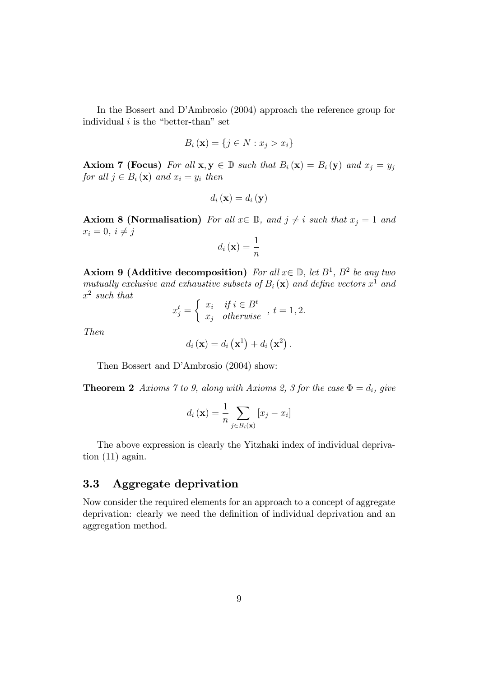In the Bossert and D'Ambrosio (2004) approach the reference group for individual  $i$  is the "better-than" set

$$
B_i(\mathbf{x}) = \{ j \in N : x_j > x_i \}
$$

**Axiom 7 (Focus)** For all  $x, y \in \mathbb{D}$  such that  $B_i(x) = B_i(y)$  and  $x_j = y_j$ for all  $j \in B_i(\mathbf{x})$  and  $x_i = y_i$  then

$$
d_i\left(\mathbf{x}\right) = d_i\left(\mathbf{y}\right)
$$

**Axiom 8 (Normalisation)** For all  $x \in \mathbb{D}$ , and  $j \neq i$  such that  $x_j = 1$  and  $x_i = 0, i \neq j$ 

$$
d_i\left(\mathbf{x}\right) = \frac{1}{n}
$$

**Axiom 9 (Additive decomposition)** For all  $x \in \mathbb{D}$ , let  $B^1$ ,  $B^2$  be any two mutually exclusive and exhaustive subsets of  $B_i(\mathbf{x})$  and define vectors  $x^1$  and  $x^2$  such that

$$
x_j^t = \begin{cases} x_i & \text{if } i \in B^t \\ x_j & \text{otherwise} \end{cases}, t = 1, 2.
$$

Then

$$
d_i\left(\mathbf{x}\right) = d_i\left(\mathbf{x}^1\right) + d_i\left(\mathbf{x}^2\right).
$$

Then Bossert and D'Ambrosio (2004) show:

**Theorem 2** Axioms 7 to 9, along with Axioms 2, 3 for the case  $\Phi = d_i$ , give

$$
d_i(\mathbf{x}) = \frac{1}{n} \sum_{j \in B_i(\mathbf{x})} [x_j - x_i]
$$

The above expression is clearly the Yitzhaki index of individual deprivation (11) again.

## 3.3 Aggregate deprivation

Now consider the required elements for an approach to a concept of aggregate deprivation: clearly we need the definition of individual deprivation and an aggregation method.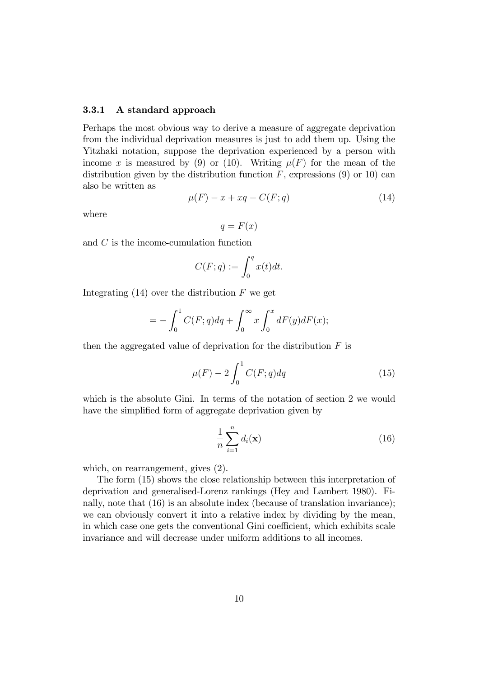#### 3.3.1 A standard approach

Perhaps the most obvious way to derive a measure of aggregate deprivation from the individual deprivation measures is just to add them up. Using the Yitzhaki notation, suppose the deprivation experienced by a person with income x is measured by (9) or (10). Writing  $\mu(F)$  for the mean of the distribution given by the distribution function  $F$ , expressions (9) or 10) can also be written as

$$
\mu(F) - x + xq - C(F; q) \tag{14}
$$

where

$$
q = F(x)
$$

and C is the income-cumulation function

$$
C(F;q) := \int_0^q x(t)dt.
$$

Integrating  $(14)$  over the distribution F we get

$$
= -\int_0^1 C(F;q)dq + \int_0^\infty x \int_0^x dF(y)dF(x);
$$

then the aggregated value of deprivation for the distribution  $F$  is

$$
\mu(F) - 2\int_0^1 C(F;q)dq \tag{15}
$$

which is the absolute Gini. In terms of the notation of section 2 we would have the simplified form of aggregate deprivation given by

$$
\frac{1}{n}\sum_{i=1}^{n}d_i(\mathbf{x})
$$
\n(16)

which, on rearrangement, gives (2).

The form (15) shows the close relationship between this interpretation of deprivation and generalised-Lorenz rankings (Hey and Lambert 1980). Finally, note that (16) is an absolute index (because of translation invariance); we can obviously convert it into a relative index by dividing by the mean, in which case one gets the conventional Gini coefficient, which exhibits scale invariance and will decrease under uniform additions to all incomes.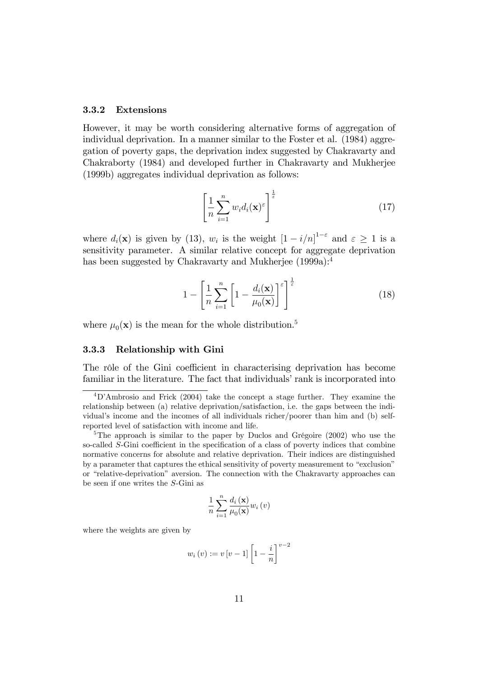#### 3.3.2 Extensions

However, it may be worth considering alternative forms of aggregation of individual deprivation. In a manner similar to the Foster et al. (1984) aggregation of poverty gaps, the deprivation index suggested by Chakravarty and Chakraborty (1984) and developed further in Chakravarty and Mukherjee (1999b) aggregates individual deprivation as follows:

$$
\left[\frac{1}{n}\sum_{i=1}^{n}w_{i}d_{i}(\mathbf{x})^{\varepsilon}\right]^{\frac{1}{\varepsilon}}
$$
\n(17)

where  $d_i(\mathbf{x})$  is given by (13),  $w_i$  is the weight  $\left[1-i/n\right]^{1-\varepsilon}$  and  $\varepsilon \geq 1$  is a sensitivity parameter. A similar relative concept for aggregate deprivation has been suggested by Chakravarty and Mukherjee (1999a):<sup>4</sup>

$$
1 - \left[\frac{1}{n}\sum_{i=1}^{n} \left[1 - \frac{d_i(\mathbf{x})}{\mu_0(\mathbf{x})}\right]^{\varepsilon}\right]^{\frac{1}{\varepsilon}}
$$
(18)

where  $\mu_0(\mathbf{x})$  is the mean for the whole distribution.<sup>5</sup>

#### 3.3.3 Relationship with Gini

The rôle of the Gini coefficient in characterising deprivation has become familiar in the literature. The fact that individuals' rank is incorporated into

$$
\frac{1}{n}\sum_{i=1}^{n}\frac{d_{i}\left(\mathbf{x}\right)}{\mu_{0}(\mathbf{x})}w_{i}\left(v\right)
$$

where the weights are given by

$$
w_i(v) := v[v-1] \left[1 - \frac{i}{n}\right]^{v-2}
$$

<sup>4</sup>DíAmbrosio and Frick (2004) take the concept a stage further. They examine the relationship between (a) relative deprivation/satisfaction, i.e. the gaps between the individual's income and the incomes of all individuals richer/poorer than him and (b) selfreported level of satisfaction with income and life.

<sup>&</sup>lt;sup>5</sup>The approach is similar to the paper by Duclos and Grégoire  $(2002)$  who use the so-called  $S$ -Gini coefficient in the specification of a class of poverty indices that combine normative concerns for absolute and relative deprivation. Their indices are distinguished by a parameter that captures the ethical sensitivity of poverty measurement to "exclusion" or "relative-deprivation" aversion. The connection with the Chakravarty approaches can be seen if one writes the S-Gini as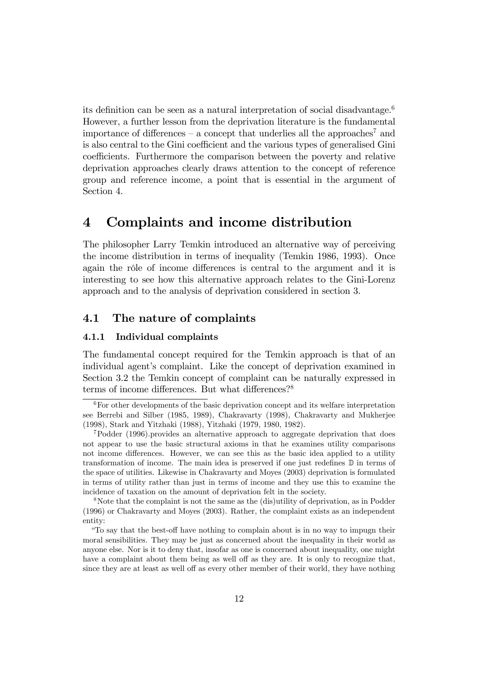its definition can be seen as a natural interpretation of social disadvantage.<sup>6</sup> However, a further lesson from the deprivation literature is the fundamental importance of differences – a concept that underlies all the approaches<sup>7</sup> and is also central to the Gini coefficient and the various types of generalised Gini coefficients. Furthermore the comparison between the poverty and relative deprivation approaches clearly draws attention to the concept of reference group and reference income, a point that is essential in the argument of Section 4.

# 4 Complaints and income distribution

The philosopher Larry Temkin introduced an alternative way of perceiving the income distribution in terms of inequality (Temkin 1986, 1993). Once again the rôle of income differences is central to the argument and it is interesting to see how this alternative approach relates to the Gini-Lorenz approach and to the analysis of deprivation considered in section 3.

# 4.1 The nature of complaints

#### 4.1.1 Individual complaints

The fundamental concept required for the Temkin approach is that of an individual agent's complaint. Like the concept of deprivation examined in Section 3.2 the Temkin concept of complaint can be naturally expressed in terms of income differences. But what differences?<sup>8</sup>

<sup>&</sup>lt;sup>6</sup>For other developments of the basic deprivation concept and its welfare interpretation see Berrebi and Silber (1985, 1989), Chakravarty (1998), Chakravarty and Mukherjee (1998), Stark and Yitzhaki (1988), Yitzhaki (1979, 1980, 1982).

<sup>7</sup>Podder (1996).provides an alternative approach to aggregate deprivation that does not appear to use the basic structural axioms in that he examines utility comparisons not income differences. However, we can see this as the basic idea applied to a utility transformation of income. The main idea is preserved if one just redefines  $\mathbb D$  in terms of the space of utilities. Likewise in Chakravarty and Moyes (2003) deprivation is formulated in terms of utility rather than just in terms of income and they use this to examine the incidence of taxation on the amount of deprivation felt in the society.

<sup>8</sup>Note that the complaint is not the same as the (dis)utility of deprivation, as in Podder (1996) or Chakravarty and Moyes (2003). Rather, the complaint exists as an independent entity:

ìTo say that the best-o§ have nothing to complain about is in no way to impugn their moral sensibilities. They may be just as concerned about the inequality in their world as anyone else. Nor is it to deny that, insofar as one is concerned about inequality, one might have a complaint about them being as well off as they are. It is only to recognize that, since they are at least as well off as every other member of their world, they have nothing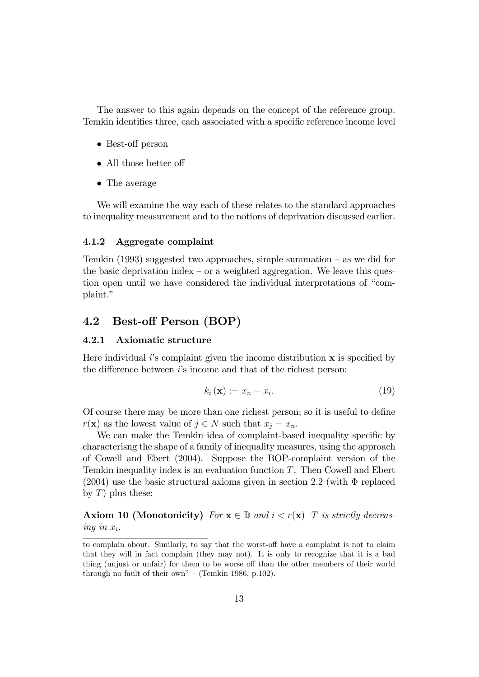The answer to this again depends on the concept of the reference group. Temkin identifies three, each associated with a specific reference income level

- Best-off person
- $\bullet$  All those better off
- The average

We will examine the way each of these relates to the standard approaches to inequality measurement and to the notions of deprivation discussed earlier.

#### 4.1.2 Aggregate complaint

Temkin (1993) suggested two approaches, simple summation  $-$  as we did for the basic deprivation index  $\sim$  or a weighted aggregation. We leave this question open until we have considered the individual interpretations of "complaint."

# 4.2 Best-off Person (BOP)

## 4.2.1 Axiomatic structure

Here individual  $\ell$ 's complaint given the income distribution  $\bf{x}$  is specified by the difference between  $i$ 's income and that of the richest person:

$$
k_i(\mathbf{x}) := x_n - x_i. \tag{19}
$$

Of course there may be more than one richest person; so it is useful to define  $r(\mathbf{x})$  as the lowest value of  $j \in N$  such that  $x_i = x_n$ .

We can make the Temkin idea of complaint-based inequality specific by characterisng the shape of a family of inequality measures, using the approach of Cowell and Ebert (2004). Suppose the BOP-complaint version of the Temkin inequality index is an evaluation function T. Then Cowell and Ebert  $(2004)$  use the basic structural axioms given in section 2.2 (with  $\Phi$  replaced by  $T$ ) plus these:

**Axiom 10 (Monotonicity)** For  $\mathbf{x} \in \mathbb{D}$  and  $i < r(\mathbf{x})$  T is strictly decreasing in  $x_i$ .

to complain about. Similarly, to say that the worst-off have a complaint is not to claim that they will in fact complain (they may not). It is only to recognize that it is a bad thing (unjust or unfair) for them to be worse off than the other members of their world through no fault of their own" – (Temkin 1986, p.102).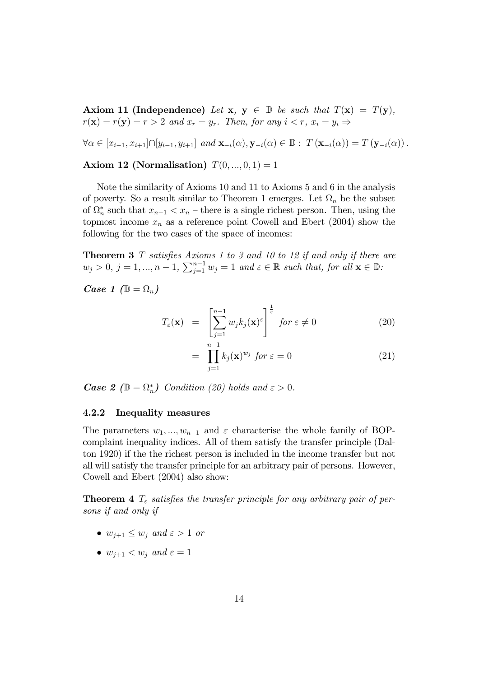Axiom 11 (Independence) Let  $x, y \in \mathbb{D}$  be such that  $T(x) = T(y)$ ,  $r(\mathbf{x}) = r(\mathbf{y}) = r > 2$  and  $x_r = y_r$ . Then, for any  $i < r$ ,  $x_i = y_i \Rightarrow$ 

 $\forall \alpha \in [x_{i-1}, x_{i+1}] \cap [y_{i-1}, y_{i+1}]$  and  $\mathbf{x}_{-i}(\alpha), \mathbf{y}_{-i}(\alpha) \in \mathbb{D}$ :  $T(\mathbf{x}_{-i}(\alpha)) = T(\mathbf{y}_{-i}(\alpha)).$ 

Axiom 12 (Normalisation)  $T(0, ..., 0, 1) = 1$ 

Note the similarity of Axioms 10 and 11 to Axioms 5 and 6 in the analysis of poverty. So a result similar to Theorem 1 emerges. Let  $\Omega_n$  be the subset of  $\Omega_n^*$  such that  $x_{n-1} < x_n$  – there is a single richest person. Then, using the topmost income  $x_n$  as a reference point Cowell and Ebert (2004) show the following for the two cases of the space of incomes:

**Theorem 3** T satisfies Axioms 1 to 3 and 10 to 12 if and only if there are  $w_j > 0, j = 1, ..., n - 1, \sum_{j=1}^{n-1} w_j = 1$  and  $\varepsilon \in \mathbb{R}$  such that, for all  $\mathbf{x} \in \mathbb{D}$ :

*Case 1* ( $\mathbb{D} = \Omega_n$ )

$$
T_{\varepsilon}(\mathbf{x}) = \left[\sum_{j=1}^{n-1} w_j k_j(\mathbf{x})^{\varepsilon}\right]^{\frac{1}{\varepsilon}} \text{ for } \varepsilon \neq 0 \tag{20}
$$

$$
= \prod_{j=1}^{n-1} k_j(\mathbf{x})^{w_j} \text{ for } \varepsilon = 0 \tag{21}
$$

**Case 2** ( $\mathbb{D} = \Omega_n^*$ ) Condition (20) holds and  $\varepsilon > 0$ .

#### 4.2.2 Inequality measures

The parameters  $w_1, ..., w_{n-1}$  and  $\varepsilon$  characterise the whole family of BOPcomplaint inequality indices. All of them satisfy the transfer principle (Dalton 1920) if the the richest person is included in the income transfer but not all will satisfy the transfer principle for an arbitrary pair of persons. However, Cowell and Ebert (2004) also show:

**Theorem 4**  $T<sub>\varepsilon</sub>$  satisfies the transfer principle for any arbitrary pair of persons if and only if

- $\bullet$   $w_{i+1} \leq w_i$  and  $\varepsilon > 1$  or
- $\bullet$   $w_{i+1} < w_i$  and  $\varepsilon = 1$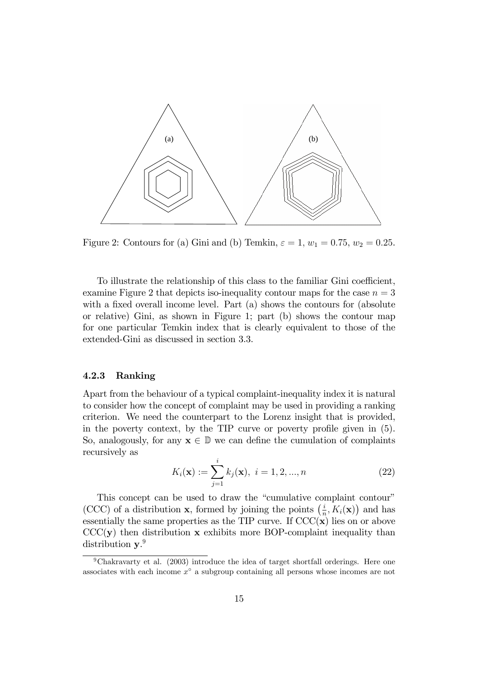

Figure 2: Contours for (a) Gini and (b) Temkin,  $\varepsilon = 1$ ,  $w_1 = 0.75$ ,  $w_2 = 0.25$ .

To illustrate the relationship of this class to the familiar Gini coefficient, examine Figure 2 that depicts iso-inequality contour maps for the case  $n = 3$ with a fixed overall income level. Part  $(a)$  shows the contours for  $(a\text{bsolute})$ or relative) Gini, as shown in Figure 1; part (b) shows the contour map for one particular Temkin index that is clearly equivalent to those of the extended-Gini as discussed in section 3.3.

#### 4.2.3 Ranking

Apart from the behaviour of a typical complaint-inequality index it is natural to consider how the concept of complaint may be used in providing a ranking criterion. We need the counterpart to the Lorenz insight that is provided, in the poverty context, by the TIP curve or poverty profile given in  $(5)$ . So, analogously, for any  $x \in \mathbb{D}$  we can define the cumulation of complaints recursively as

$$
K_i(\mathbf{x}) := \sum_{j=1}^i k_j(\mathbf{x}), \ i = 1, 2, ..., n
$$
 (22)

This concept can be used to draw the "cumulative complaint contour" (CCC) of a distribution **x**, formed by joining the points  $\left(\frac{i}{r}\right)$  $\frac{i}{n}, K_i(\mathbf{x})$  and has essentially the same properties as the TIP curve. If  $CCC(x)$  lies on or above  $\text{CCC}(\mathbf{y})$  then distribution **x** exhibits more BOP-complaint inequality than distribution  $y.^9$ 

<sup>9</sup>Chakravarty et al. (2003) introduce the idea of target shortfall orderings. Here one associates with each income  $x^{\circ}$  a subgroup containing all persons whose incomes are not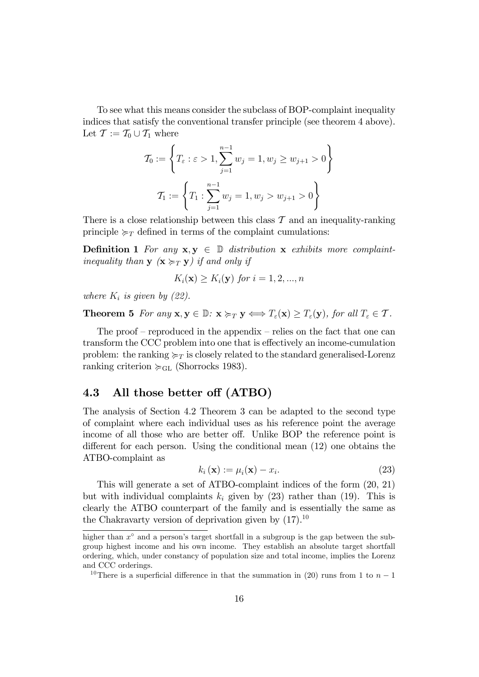To see what this means consider the subclass of BOP-complaint inequality indices that satisfy the conventional transfer principle (see theorem 4 above). Let  $\mathcal{T} := \mathcal{T}_0 \cup \mathcal{T}_1$  where

$$
\mathcal{T}_0 := \left\{ T_{\varepsilon} : \varepsilon > 1, \sum_{j=1}^{n-1} w_j = 1, w_j \ge w_{j+1} > 0 \right\}
$$

$$
\mathcal{T}_1 := \left\{ T_1 : \sum_{j=1}^{n-1} w_j = 1, w_j > w_{j+1} > 0 \right\}
$$

There is a close relationship between this class  $\mathcal T$  and an inequality-ranking principle  $\succcurlyeq_T$  defined in terms of the complaint cumulations:

**Definition 1** For any  $x, y \in \mathbb{D}$  distribution x exhibits more complaintinequality than  $\mathbf{y}$  ( $\mathbf{x} \succcurlyeq_T \mathbf{y}$ ) if and only if

$$
K_i(\mathbf{x}) \ge K_i(\mathbf{y}) \text{ for } i = 1, 2, ..., n
$$

where  $K_i$  is given by (22).

**Theorem 5** For any  $\mathbf{x}, \mathbf{y} \in \mathbb{D}$ :  $\mathbf{x} \succcurlyeq_T \mathbf{y} \Longleftrightarrow T_{\varepsilon}(\mathbf{x}) \geq T_{\varepsilon}(\mathbf{y})$ , for all  $T_{\varepsilon} \in \mathcal{T}$ .

The proof  $-$  reproduced in the appendix  $-$  relies on the fact that one can transform the CCC problem into one that is effectively an income-cumulation problem: the ranking  $\succeq_T$  is closely related to the standard generalised-Lorenz ranking criterion  $\succcurlyeq_{GL}$  (Shorrocks 1983).

## 4.3 All those better off (ATBO)

The analysis of Section 4.2 Theorem 3 can be adapted to the second type of complaint where each individual uses as his reference point the average income of all those who are better off. Unlike BOP the reference point is different for each person. Using the conditional mean  $(12)$  one obtains the ATBO-complaint as

$$
k_i(\mathbf{x}) := \mu_i(\mathbf{x}) - x_i.
$$
 (23)

This will generate a set of ATBO-complaint indices of the form (20, 21) but with individual complaints  $k_i$  given by (23) rather than (19). This is clearly the ATBO counterpart of the family and is essentially the same as the Chakravarty version of deprivation given by  $(17).^{10}$ 

higher than  $x^{\circ}$  and a person's target shortfall in a subgroup is the gap between the subgroup highest income and his own income. They establish an absolute target shortfall ordering, which, under constancy of population size and total income, implies the Lorenz and CCC orderings.

<sup>&</sup>lt;sup>10</sup>There is a superficial difference in that the summation in (20) runs from 1 to  $n-1$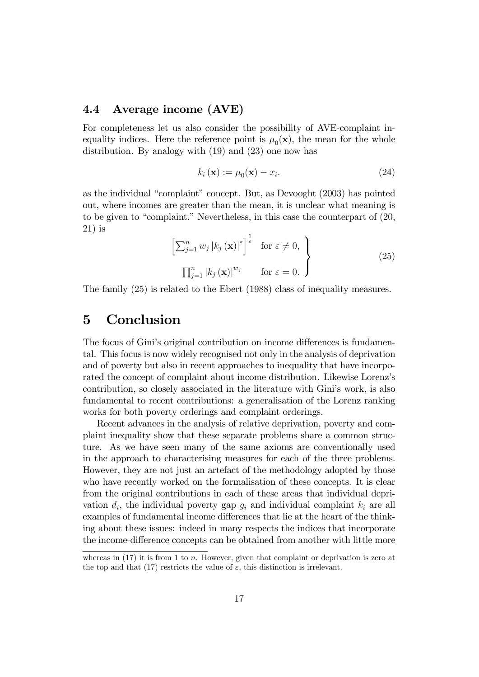# 4.4 Average income (AVE)

For completeness let us also consider the possibility of AVE-complaint inequality indices. Here the reference point is  $\mu_0(\mathbf{x})$ , the mean for the whole distribution. By analogy with (19) and (23) one now has

$$
k_i(\mathbf{x}) := \mu_0(\mathbf{x}) - x_i.
$$
 (24)

as the individual "complaint" concept. But, as Devooght  $(2003)$  has pointed out, where incomes are greater than the mean, it is unclear what meaning is to be given to "complaint." Nevertheless, in this case the counterpart of  $(20, 0)$ 21) is

$$
\left[\sum_{j=1}^{n} w_j |k_j(\mathbf{x})|^{\varepsilon}\right]^{\frac{1}{\varepsilon}} \quad \text{for } \varepsilon \neq 0, \atop \prod_{j=1}^{n} |k_j(\mathbf{x})|^{w_j} \qquad \text{for } \varepsilon = 0. \tag{25}
$$

The family (25) is related to the Ebert (1988) class of inequality measures.

# 5 Conclusion

The focus of Gini's original contribution on income differences is fundamental. This focus is now widely recognised not only in the analysis of deprivation and of poverty but also in recent approaches to inequality that have incorporated the concept of complaint about income distribution. Likewise Lorenzís contribution, so closely associated in the literature with Gini's work, is also fundamental to recent contributions: a generalisation of the Lorenz ranking works for both poverty orderings and complaint orderings.

Recent advances in the analysis of relative deprivation, poverty and complaint inequality show that these separate problems share a common structure. As we have seen many of the same axioms are conventionally used in the approach to characterising measures for each of the three problems. However, they are not just an artefact of the methodology adopted by those who have recently worked on the formalisation of these concepts. It is clear from the original contributions in each of these areas that individual deprivation  $d_i$ , the individual poverty gap  $g_i$  and individual complaint  $k_i$  are all examples of fundamental income differences that lie at the heart of the thinking about these issues: indeed in many respects the indices that incorporate the income-difference concepts can be obtained from another with little more

whereas in  $(17)$  it is from 1 to *n*. However, given that complaint or deprivation is zero at the top and that (17) restricts the value of  $\varepsilon$ , this distinction is irrelevant.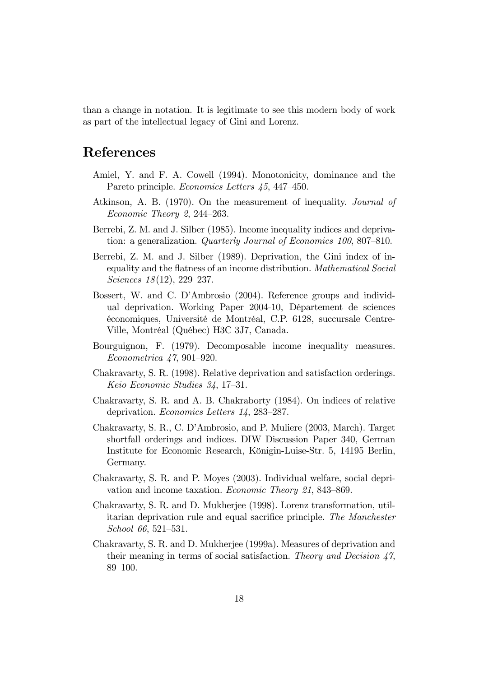than a change in notation. It is legitimate to see this modern body of work as part of the intellectual legacy of Gini and Lorenz.

# References

- Amiel, Y. and F. A. Cowell (1994). Monotonicity, dominance and the Pareto principle. Economics Letters 45, 447–450.
- Atkinson, A. B. (1970). On the measurement of inequality. Journal of Economic Theory 2, 244–263.
- Berrebi, Z. M. and J. Silber (1985). Income inequality indices and deprivation: a generalization. Quarterly Journal of Economics 100, 807-810.
- Berrebi, Z. M. and J. Silber (1989). Deprivation, the Gini index of inequality and the flatness of an income distribution. Mathematical Social Sciences  $18(12)$ , 229–237.
- Bossert, W. and C. D'Ambrosio (2004). Reference groups and individual deprivation. Working Paper 2004-10, Département de sciences  $\acute{e}$ conomiques, Université de Montréal, C.P. 6128, succursale Centre-Ville, Montréal (Québec) H3C 3J7, Canada.
- Bourguignon, F. (1979). Decomposable income inequality measures.  $Econometrica \nvert 47, 901-920.$
- Chakravarty, S. R. (1998). Relative deprivation and satisfaction orderings. Keio Economic Studies  $34, 17-31.$
- Chakravarty, S. R. and A. B. Chakraborty (1984). On indices of relative deprivation. Economics Letters  $14$ , 283-287.
- Chakravarty, S. R., C. DíAmbrosio, and P. Muliere (2003, March). Target shortfall orderings and indices. DIW Discussion Paper 340, German Institute for Economic Research, Königin-Luise-Str. 5, 14195 Berlin, Germany.
- Chakravarty, S. R. and P. Moyes (2003). Individual welfare, social deprivation and income taxation. Economic Theory 21, 843–869.
- Chakravarty, S. R. and D. Mukherjee (1998). Lorenz transformation, utilitarian deprivation rule and equal sacrifice principle. The Manchester School 66, 521–531.
- Chakravarty, S. R. and D. Mukherjee (1999a). Measures of deprivation and their meaning in terms of social satisfaction. Theory and Decision  $47$ , 89-100.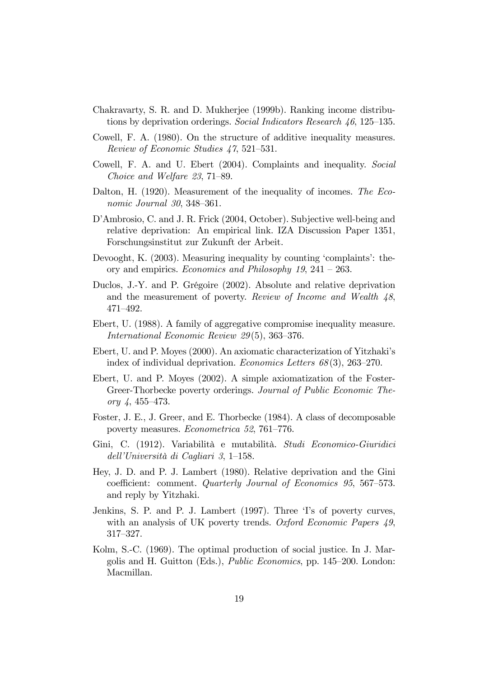- Chakravarty, S. R. and D. Mukherjee (1999b). Ranking income distributions by deprivation orderings. Social Indicators Research  $46, 125-135$ .
- Cowell, F. A. (1980). On the structure of additive inequality measures. Review of Economic Studies  $47,521-531$ .
- Cowell, F. A. and U. Ebert (2004). Complaints and inequality. Social Choice and Welfare  $23, 71-89$ .
- Dalton, H. (1920). Measurement of the inequality of incomes. The Economic Journal  $30, 348-361$ .
- D'Ambrosio, C. and J. R. Frick (2004, October). Subjective well-being and relative deprivation: An empirical link. IZA Discussion Paper 1351, Forschungsinstitut zur Zukunft der Arbeit.
- Devooght, K. (2003). Measuring inequality by counting 'complaints': theory and empirics. Economics and Philosophy  $19, 241 - 263$ .
- Duclos, J.-Y. and P. Grégoire (2002). Absolute and relative deprivation and the measurement of poverty. Review of Income and Wealth  $\mu$ 8,  $471 - 492.$
- Ebert, U. (1988). A family of aggregative compromise inequality measure. International Economic Review  $29(5)$ , 363–376.
- Ebert, U. and P. Moyes (2000). An axiomatic characterization of Yitzhakiís index of individual deprivation. *Economics Letters*  $68(3)$ ,  $263-270$ .
- Ebert, U. and P. Moyes (2002). A simple axiomatization of the Foster-Greer-Thorbecke poverty orderings. Journal of Public Economic Theory  $4, 455 - 473$ .
- Foster, J. E., J. Greer, and E. Thorbecke (1984). A class of decomposable poverty measures. *Econometrica* 52, 761–776.
- Gini, C. (1912). Variabilità e mutabilità. Studi Economico-Giuridici dell'Università di Cagliari 3, 1–158.
- Hey, J. D. and P. J. Lambert (1980). Relative deprivation and the Gini coefficient: comment. Quarterly Journal of Economics 95, 567-573. and reply by Yitzhaki.
- Jenkins, S. P. and P. J. Lambert (1997). Three 'I's of poverty curves, with an analysis of UK poverty trends. Oxford Economic Papers 49, 317–327.
- Kolm, S.-C. (1969). The optimal production of social justice. In J. Margolis and H. Guitton (Eds.), *Public Economics*, pp. 145–200. London: Macmillan.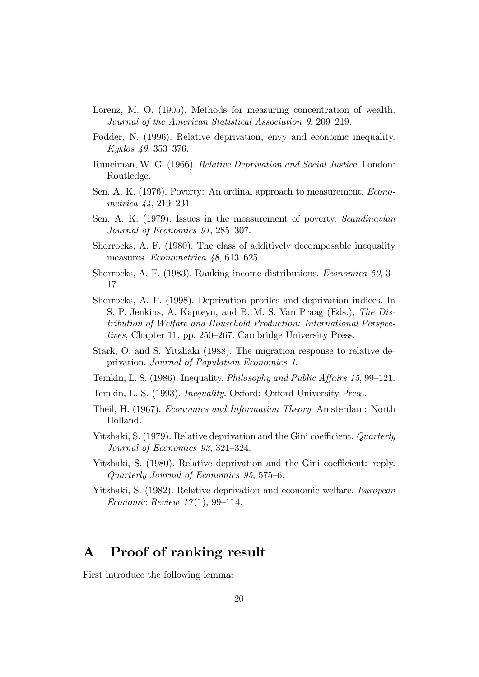- Lorenz, M. O. (1905). Methods for measuring concentration of wealth. Journal of the American Statistical Association 9, 209–219.
- Podder, N. (1996). Relative deprivation, envy and economic inequality. Kyklos  $49, 353 - 376$ .
- Runciman, W. G. (1966). Relative Deprivation and Social Justice. London: Routledge.
- Sen, A. K. (1976). Poverty: An ordinal approach to measurement. Econometrica  $44, 219-231$ .
- Sen, A. K. (1979). Issues in the measurement of poverty. Scandinavian Journal of Economics 91, 285–307.
- Shorrocks, A. F. (1980). The class of additively decomposable inequality measures. *Econometrica*  $48,613-625$ .
- Shorrocks, A. F. (1983). Ranking income distributions. *Economica* 50, 3– 17.
- Shorrocks, A. F. (1998). Deprivation profiles and deprivation indices. In S. P. Jenkins, A. Kapteyn, and B. M. S. Van Praag (Eds.), The Distribution of Welfare and Household Production: International Perspectives, Chapter 11, pp. 250–267. Cambridge University Press.
- Stark, O. and S. Yitzhaki (1988). The migration response to relative deprivation. Journal of Population Economics 1.
- Temkin, L. S. (1986). Inequality. *Philosophy and Public Affairs 15*, 99–121.
- Temkin, L. S. (1993). Inequality. Oxford: Oxford University Press.
- Theil, H. (1967). Economics and Information Theory. Amsterdam: North Holland.
- Yitzhaki, S. (1979). Relative deprivation and the Gini coefficient. Quarterly Journal of Economics  $93, 321-324$ .
- Yitzhaki, S. (1980). Relative deprivation and the Gini coefficient: reply. Quarterly Journal of Economics  $95, 575-6.$
- Yitzhaki, S. (1982). Relative deprivation and economic welfare. European Economic Review  $17(1)$ , 99–114.

# A Proof of ranking result

First introduce the following lemma: